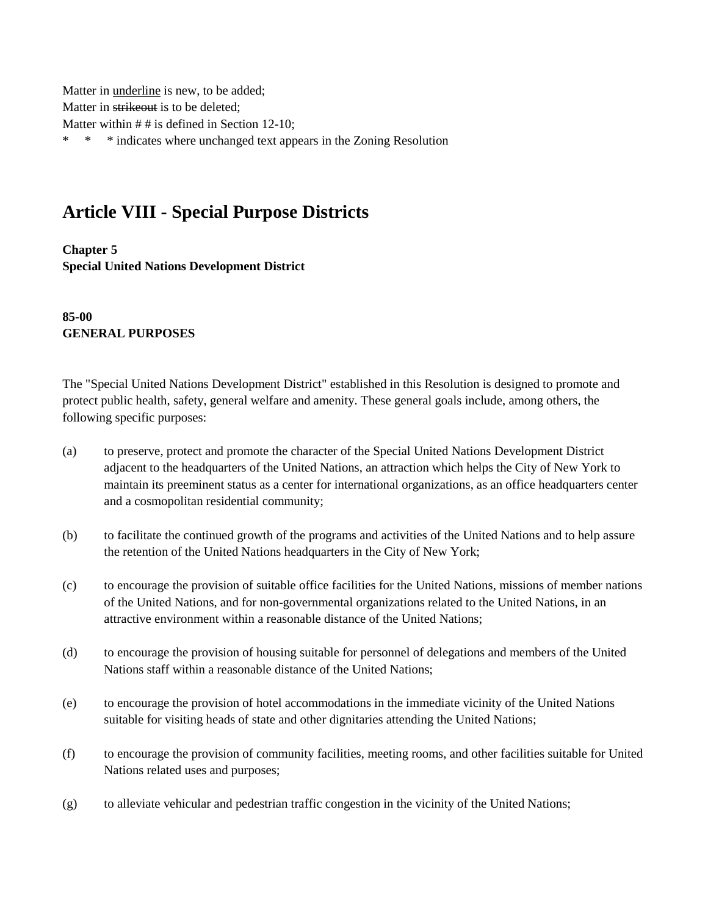Matter in underline is new, to be added; Matter in strikeout is to be deleted; Matter within # # is defined in Section 12-10; \* \* \* indicates where unchanged text appears in the Zoning Resolution

## **Article VIII - Special Purpose Districts**

**Chapter 5 Special United Nations Development District**

**85-00 GENERAL PURPOSES**

The "Special United Nations Development District" established in this Resolution is designed to promote and protect public health, safety, general welfare and amenity. These general goals include, among others, the following specific purposes:

- (a) to preserve, protect and promote the character of the Special United Nations Development District adjacent to the headquarters of the United Nations, an attraction which helps the City of New York to maintain its preeminent status as a center for international organizations, as an office headquarters center and a cosmopolitan residential community;
- (b) to facilitate the continued growth of the programs and activities of the United Nations and to help assure the retention of the United Nations headquarters in the City of New York;
- (c) to encourage the provision of suitable office facilities for the United Nations, missions of member nations of the United Nations, and for non-governmental organizations related to the United Nations, in an attractive environment within a reasonable distance of the United Nations;
- (d) to encourage the provision of housing suitable for personnel of delegations and members of the United Nations staff within a reasonable distance of the United Nations;
- (e) to encourage the provision of hotel accommodations in the immediate vicinity of the United Nations suitable for visiting heads of state and other dignitaries attending the United Nations;
- (f) to encourage the provision of community facilities, meeting rooms, and other facilities suitable for United Nations related uses and purposes;
- (g) to alleviate vehicular and pedestrian traffic congestion in the vicinity of the United Nations;